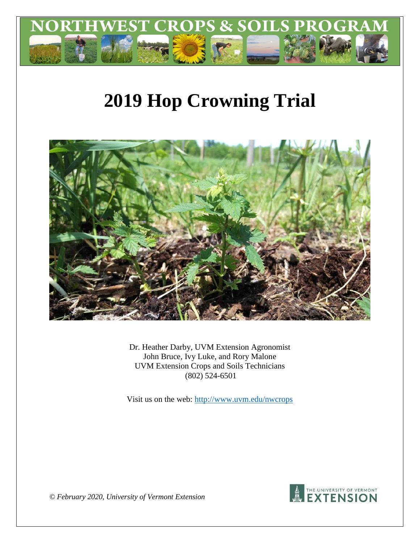

# **2019 Hop Crowning Trial**



Dr. Heather Darby, UVM Extension Agronomist John Bruce, Ivy Luke, and Rory Malone UVM Extension Crops and Soils Technicians (802) 524-6501

Visit us on the web:<http://www.uvm.edu/nwcrops>



*© February 2020, University of Vermont Extension*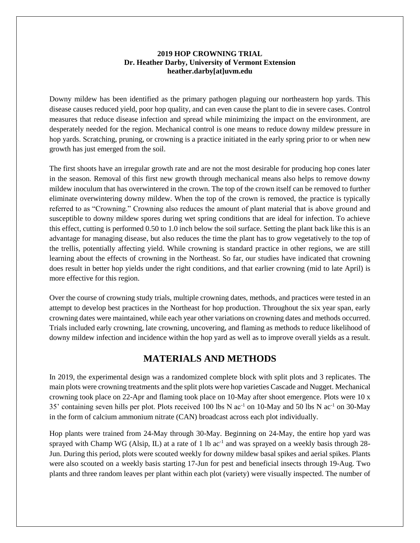### **2019 HOP CROWNING TRIAL Dr. Heather Darby, University of Vermont Extension heather.darby[at]uvm.edu**

Downy mildew has been identified as the primary pathogen plaguing our northeastern hop yards. This disease causes reduced yield, poor hop quality, and can even cause the plant to die in severe cases. Control measures that reduce disease infection and spread while minimizing the impact on the environment, are desperately needed for the region. Mechanical control is one means to reduce downy mildew pressure in hop yards. Scratching, pruning, or crowning is a practice initiated in the early spring prior to or when new growth has just emerged from the soil.

The first shoots have an irregular growth rate and are not the most desirable for producing hop cones later in the season. Removal of this first new growth through mechanical means also helps to remove downy mildew inoculum that has overwintered in the crown. The top of the crown itself can be removed to further eliminate overwintering downy mildew. When the top of the crown is removed, the practice is typically referred to as "Crowning." Crowning also reduces the amount of plant material that is above ground and susceptible to downy mildew spores during wet spring conditions that are ideal for infection. To achieve this effect, cutting is performed 0.50 to 1.0 inch below the soil surface. Setting the plant back like this is an advantage for managing disease, but also reduces the time the plant has to grow vegetatively to the top of the trellis, potentially affecting yield. While crowning is standard practice in other regions, we are still learning about the effects of crowning in the Northeast. So far, our studies have indicated that crowning does result in better hop yields under the right conditions, and that earlier crowning (mid to late April) is more effective for this region.

Over the course of crowning study trials, multiple crowning dates, methods, and practices were tested in an attempt to develop best practices in the Northeast for hop production. Throughout the six year span, early crowning dates were maintained, while each year other variations on crowning dates and methods occurred. Trials included early crowning, late crowning, uncovering, and flaming as methods to reduce likelihood of downy mildew infection and incidence within the hop yard as well as to improve overall yields as a result.

# **MATERIALS AND METHODS**

In 2019, the experimental design was a randomized complete block with split plots and 3 replicates. The main plots were crowning treatments and the split plots were hop varieties Cascade and Nugget. Mechanical crowning took place on 22-Apr and flaming took place on 10-May after shoot emergence. Plots were 10 x 35' containing seven hills per plot. Plots received 100 lbs N  $ac^{-1}$  on 10-May and 50 lbs N  $ac^{-1}$  on 30-May in the form of calcium ammonium nitrate (CAN) broadcast across each plot individually.

Hop plants were trained from 24-May through 30-May. Beginning on 24-May, the entire hop yard was sprayed with Champ WG (Alsip, IL) at a rate of 1 lb ac<sup>-1</sup> and was sprayed on a weekly basis through 28-Jun. During this period, plots were scouted weekly for downy mildew basal spikes and aerial spikes. Plants were also scouted on a weekly basis starting 17-Jun for pest and beneficial insects through 19-Aug. Two plants and three random leaves per plant within each plot (variety) were visually inspected. The number of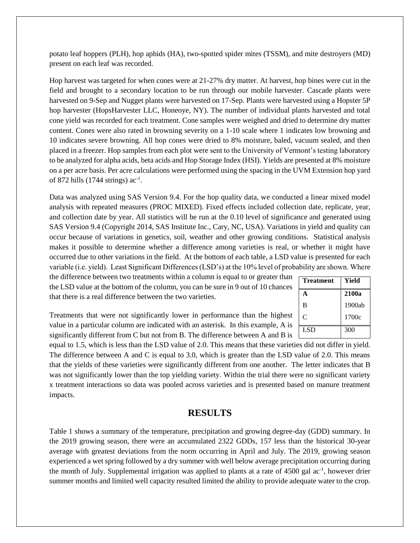potato leaf hoppers (PLH), hop aphids (HA), two-spotted spider mites (TSSM), and mite destroyers (MD) present on each leaf was recorded.

Hop harvest was targeted for when cones were at 21-27% dry matter. At harvest, hop bines were cut in the field and brought to a secondary location to be run through our mobile harvester. Cascade plants were harvested on 9-Sep and Nugget plants were harvested on 17-Sep. Plants were harvested using a Hopster 5P hop harvester (HopsHarvester LLC, Honeoye, NY). The number of individual plants harvested and total cone yield was recorded for each treatment. Cone samples were weighed and dried to determine dry matter content. Cones were also rated in browning severity on a 1-10 scale where 1 indicates low browning and 10 indicates severe browning. All hop cones were dried to 8% moisture, baled, vacuum sealed, and then placed in a freezer. Hop samples from each plot were sent to the University of Vermont's testing laboratory to be analyzed for alpha acids, beta acids and Hop Storage Index (HSI). Yields are presented at 8% moisture on a per acre basis. Per acre calculations were performed using the spacing in the UVM Extension hop yard of 872 hills (1744 strings)  $ac^{-1}$ .

Data was analyzed using SAS Version 9.4. For the hop quality data, we conducted a linear mixed model analysis with repeated measures (PROC MIXED). Fixed effects included collection date, replicate, year, and collection date by year. All statistics will be run at the 0.10 level of significance and generated using SAS Version 9.4 (Copyright 2014, SAS Institute Inc., Cary, NC, USA). Variations in yield and quality can occur because of variations in genetics, soil, weather and other growing conditions. Statistical analysis makes it possible to determine whether a difference among varieties is real, or whether it might have occurred due to other variations in the field. At the bottom of each table, a LSD value is presented for each variable (i.e. yield). Least Significant Differences (LSD's) at the 10% level of probability are shown. Where

the difference between two treatments within a column is equal to or greater than the LSD value at the bottom of the column, you can be sure in 9 out of 10 chances that there is a real difference between the two varieties.

| <b>Treatment</b> | <b>Yield</b> |
|------------------|--------------|
| A                | 2100a        |
| B                | 1900ab       |
| C                | 1700c        |
| <b>LSD</b>       | 300          |

Treatments that were not significantly lower in performance than the highest value in a particular column are indicated with an asterisk. In this example, A is significantly different from C but not from B. The difference between A and B is

equal to 1.5, which is less than the LSD value of 2.0. This means that these varieties did not differ in yield. The difference between A and C is equal to 3.0, which is greater than the LSD value of 2.0. This means that the yields of these varieties were significantly different from one another. The letter indicates that B was not significantly lower than the top yielding variety. Within the trial there were no significant variety x treatment interactions so data was pooled across varieties and is presented based on manure treatment impacts.

## **RESULTS**

Table 1 shows a summary of the temperature, precipitation and growing degree-day (GDD) summary. In the 2019 growing season, there were an accumulated 2322 GDDs, 157 less than the historical 30-year average with greatest deviations from the norm occurring in April and July. The 2019, growing season experienced a wet spring followed by a dry summer with well below average precipitation occurring during the month of July. Supplemental irrigation was applied to plants at a rate of 4500 gal ac-1 , however drier summer months and limited well capacity resulted limited the ability to provide adequate water to the crop.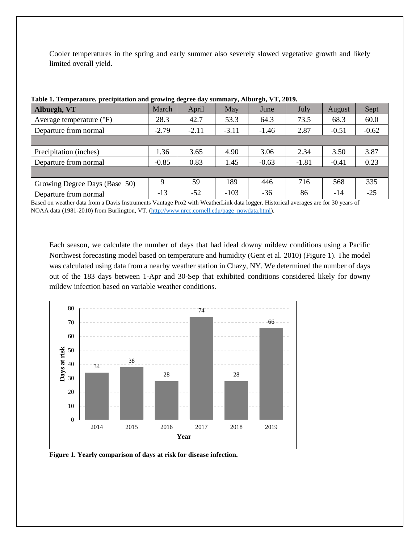Cooler temperatures in the spring and early summer also severely slowed vegetative growth and likely limited overall yield.

| raoic re remperature, precipiumon unu growing uegree uny summury, mourgn, v r, sorze<br>Alburgh, VT | March   | April   | May     | June    | July    | August  | Sept    |
|-----------------------------------------------------------------------------------------------------|---------|---------|---------|---------|---------|---------|---------|
|                                                                                                     |         |         |         |         |         |         |         |
| Average temperature $({}^{\circ}F)$                                                                 | 28.3    | 42.7    | 53.3    | 64.3    | 73.5    | 68.3    | 60.0    |
| Departure from normal                                                                               | $-2.79$ | $-2.11$ | $-3.11$ | $-1.46$ | 2.87    | $-0.51$ | $-0.62$ |
|                                                                                                     |         |         |         |         |         |         |         |
| Precipitation (inches)                                                                              | 1.36    | 3.65    | 4.90    | 3.06    | 2.34    | 3.50    | 3.87    |
| Departure from normal                                                                               | $-0.85$ | 0.83    | 1.45    | $-0.63$ | $-1.81$ | $-0.41$ | 0.23    |
|                                                                                                     |         |         |         |         |         |         |         |
| Growing Degree Days (Base 50)                                                                       | 9       | 59      | 189     | 446     | 716     | 568     | 335     |
| Departure from normal                                                                               | $-13$   | $-52$   | $-103$  | $-36$   | 86      | $-14$   | $-25$   |

**Table 1. Temperature, precipitation and growing degree day summary, Alburgh, VT, 2019.**

Based on weather data from a Davis Instruments Vantage Pro2 with WeatherLink data logger. Historical averages are for 30 years of NOAA data (1981-2010) from Burlington, VT. [\(http://www.nrcc.cornell.edu/page\\_nowdata.html\)](http://www.nrcc.cornell.edu/page_nowdata.html).

Each season, we calculate the number of days that had ideal downy mildew conditions using a Pacific Northwest forecasting model based on temperature and humidity (Gent et al. 2010) (Figure 1). The model was calculated using data from a nearby weather station in Chazy, NY. We determined the number of days out of the 183 days between 1-Apr and 30-Sep that exhibited conditions considered likely for downy mildew infection based on variable weather conditions.



**Figure 1. Yearly comparison of days at risk for disease infection.**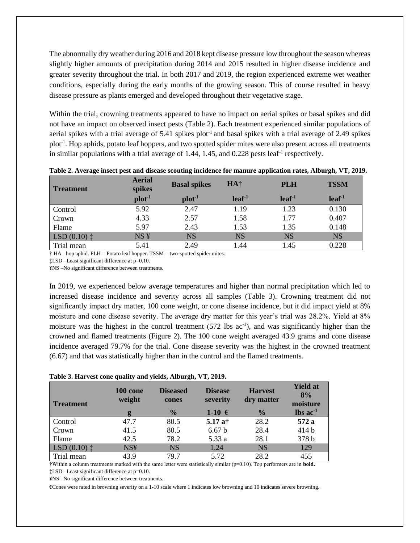The abnormally dry weather during 2016 and 2018 kept disease pressure low throughout the season whereas slightly higher amounts of precipitation during 2014 and 2015 resulted in higher disease incidence and greater severity throughout the trial. In both 2017 and 2019, the region experienced extreme wet weather conditions, especially during the early months of the growing season. This of course resulted in heavy disease pressure as plants emerged and developed throughout their vegetative stage.

Within the trial, crowning treatments appeared to have no impact on aerial spikes or basal spikes and did not have an impact on observed insect pests (Table 2). Each treatment experienced similar populations of aerial spikes with a trial average of  $5.41$  spikes plot<sup>-1</sup> and basal spikes with a trial average of 2.49 spikes plot<sup>-1</sup>. Hop aphids, potato leaf hoppers, and two spotted spider mites were also present across all treatments in similar populations with a trial average of  $1.44$ ,  $1.45$ , and  $0.228$  pests leaf<sup>-1</sup> respectively.

| <b>Treatment</b>               | <b>Aerial</b><br>spikes | <b>Basal spikes</b> | HA <sup>+</sup>   | <b>PLH</b>        | <b>TSSM</b> |
|--------------------------------|-------------------------|---------------------|-------------------|-------------------|-------------|
|                                | $plot-1$                | $plot-1$            | leaf <sup>1</sup> | leaf <sup>1</sup> | $leaf-1$    |
| Control                        | 5.92                    | 2.47                | 1.19              | 1.23              | 0.130       |
| Crown                          | 4.33                    | 2.57                | 1.58              | 1.77              | 0.407       |
| Flame                          | 5.97                    | 2.43                | 1.53              | 1.35              | 0.148       |
| $\text{LSD} (0.10)$ $\ddagger$ | NS <sub>Y</sub>         | <b>NS</b>           | <b>NS</b>         | <b>NS</b>         | <b>NS</b>   |
| Trial mean                     | 5.41                    | 2.49                | 1.44              | 1.45              | 0.228       |

**Table 2. Average insect pest and disease scouting incidence for manure application rates, Alburgh, VT, 2019.** 

 $\dagger$  HA= hop aphid. PLH = Potato leaf hopper. TSSM = two-spotted spider mites.

‡LSD –Least significant difference at p=0.10.

¥NS –No significant difference between treatments.

In 2019, we experienced below average temperatures and higher than normal precipitation which led to increased disease incidence and severity across all samples (Table 3). Crowning treatment did not significantly impact dry matter, 100 cone weight, or cone disease incidence, but it did impact yield at 8% moisture and cone disease severity. The average dry matter for this year's trial was 28.2%. Yield at 8% moisture was the highest in the control treatment  $(572 \text{ lbs } ac^{-1})$ , and was significantly higher than the crowned and flamed treatments (Figure 2). The 100 cone weight averaged 43.9 grams and cone disease incidence averaged 79.7% for the trial. Cone disease severity was the highest in the crowned treatment (6.67) and that was statistically higher than in the control and the flamed treatments.

#### **Table 3. Harvest cone quality and yields, Alburgh, VT, 2019.**

| <b>Treatment</b>               | 100 cone<br>weight | <b>Diseased</b><br>cones | <b>Disease</b><br>severity | <b>Harvest</b><br>dry matter | <b>Yield at</b><br>8%<br>moisture |
|--------------------------------|--------------------|--------------------------|----------------------------|------------------------------|-----------------------------------|
|                                | g                  | $\frac{0}{0}$            | 1-10 $\epsilon$            | $\frac{0}{0}$                | $\text{lbs}$ ac <sup>-1</sup>     |
| Control                        | 47.7               | 80.5                     | 5.17 $a^+$                 | 28.2                         | 572 a                             |
| Crown                          | 41.5               | 80.5                     | 6.67 <sub>b</sub>          | 28.4                         | 414 b                             |
| Flame                          | 42.5               | 78.2                     | 5.33 a                     | 28.1                         | 378 b                             |
| $\text{LSD} (0.10)$ $\ddagger$ | <b>NS¥</b>         | <b>NS</b>                | 1.24                       | <b>NS</b>                    | 129                               |
| Trial mean                     | 43.9               | 797                      | 5.72                       | 28.2                         | 455                               |

†Within a column treatments marked with the same letter were statistically similar (p=0.10). Top performers are in **bold.** ‡LSD –Least significant difference at p=0.10.

¥NS –No significant difference between treatments.

**€**Cones were rated in browning severity on a 1-10 scale where 1 indicates low browning and 10 indicates severe browning.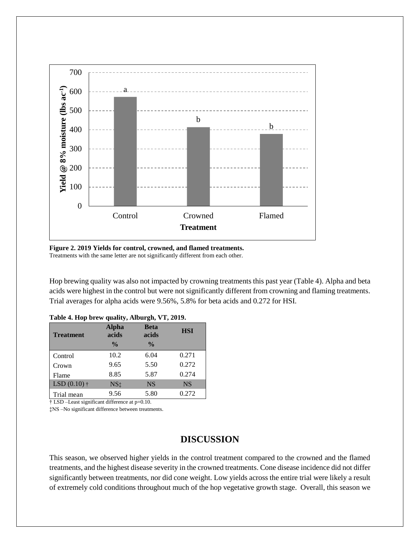

**Figure 2. 2019 Yields for control, crowned, and flamed treatments.**  Treatments with the same letter are not significantly different from each other.

Hop brewing quality was also not impacted by crowning treatments this past year (Table 4). Alpha and beta acids were highest in the control but were not significantly different from crowning and flaming treatments. Trial averages for alpha acids were 9.56%, 5.8% for beta acids and 0.272 for HSI.

| <b>Treatment</b>       | <b>Alpha</b><br>acids | <b>Beta</b><br>acids | <b>HSI</b> |
|------------------------|-----------------------|----------------------|------------|
|                        | $\frac{0}{0}$         | $\frac{0}{0}$        |            |
| Control                | 10.2                  | 6.04                 | 0.271      |
| Crown                  | 9.65                  | 5.50                 | 0.272      |
| Flame                  | 8.85                  | 5.87                 | 0.274      |
| LSD $(0.10)$ $\dagger$ | NS <sub>1</sub>       | <b>NS</b>            | <b>NS</b>  |
| Trial mean             | 9.56                  | 5.80                 | 0.272      |

| Table 4. Hop brew quality, Alburgh, VT, 2019. |  |  |
|-----------------------------------------------|--|--|
|-----------------------------------------------|--|--|

† LSD –Least significant difference at p=0.10.

‡NS –No significant difference between treatments.

## **DISCUSSION**

This season, we observed higher yields in the control treatment compared to the crowned and the flamed treatments, and the highest disease severity in the crowned treatments. Cone disease incidence did not differ significantly between treatments, nor did cone weight. Low yields across the entire trial were likely a result of extremely cold conditions throughout much of the hop vegetative growth stage. Overall, this season we